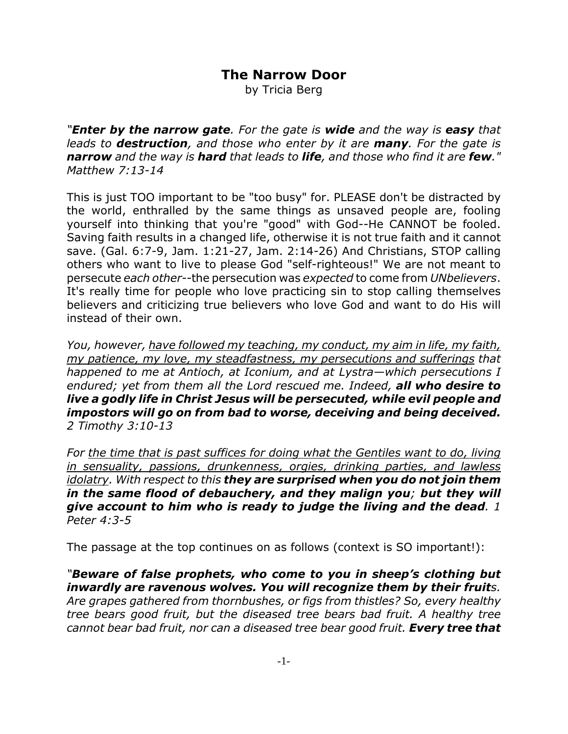## **The Narrow Door**

by Tricia Berg

*"Enter by the narrow gate. For the gate is wide and the way is easy that leads to destruction, and those who enter by it are many. For the gate is narrow and the way is hard that leads to life, and those who find it are few." Matthew 7:13-14*

This is just TOO important to be "too busy" for. PLEASE don't be distracted by the world, enthralled by the same things as unsaved people are, fooling yourself into thinking that you're "good" with God--He CANNOT be fooled. Saving faith results in a changed life, otherwise it is not true faith and it cannot save. (Gal. 6:7-9, Jam. 1:21-27, Jam. 2:14-26) And Christians, STOP calling others who want to live to please God "self-righteous!" We are not meant to persecute *each other*--the persecution was *expected* to come from *UNbelievers*. It's really time for people who love practicing sin to stop calling themselves believers and criticizing true believers who love God and want to do His will instead of their own.

*You, however, have followed my teaching, my conduct, my aim in life, my faith, my patience, my love, my steadfastness, my persecutions and sufferings that happened to me at Antioch, at Iconium, and at Lystra—which persecutions I endured; yet from them all the Lord rescued me. Indeed, all who desire to live a godly life in Christ Jesus will be persecuted, while evil people and impostors will go on from bad to worse, deceiving and being deceived. 2 Timothy 3:10-13*

*For the time that is past suffices for doing what the Gentiles want to do, living in sensuality, passions, drunkenness, orgies, drinking parties, and lawless idolatry. With respect to this they are surprised when you do not join them in the same flood of debauchery, and they malign you; but they will give account to him who is ready to judge the living and the dead. 1 Peter 4:3-5*

The passage at the top continues on as follows (context is SO important!):

*"Beware of false prophets, who come to you in sheep's clothing but inwardly are ravenous wolves. You will recognize them by their fruits. Are grapes gathered from thornbushes, or figs from thistles? So, every healthy tree bears good fruit, but the diseased tree bears bad fruit. A healthy tree cannot bear bad fruit, nor can a diseased tree bear good fruit. Every tree that*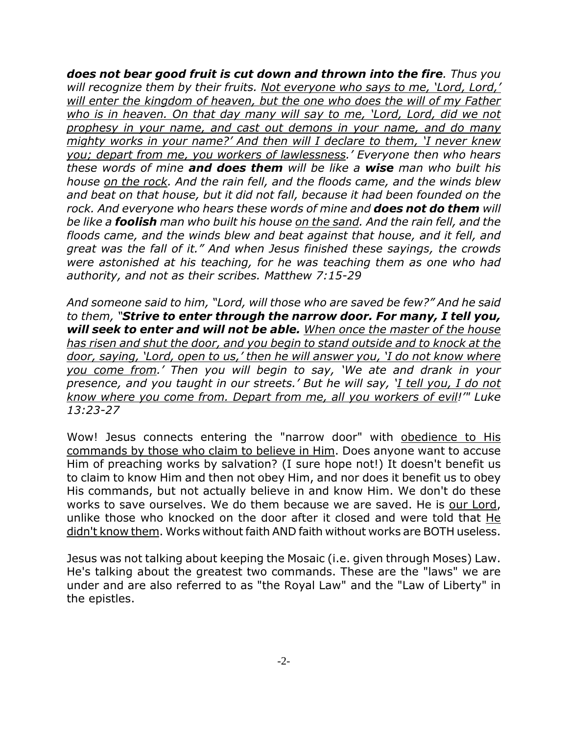*does not bear good fruit is cut down and thrown into the fire. Thus you will recognize them by their fruits. Not everyone who says to me, 'Lord, Lord,' will enter the kingdom of heaven, but the one who does the will of my Father who is in heaven. On that day many will say to me, 'Lord, Lord, did we not prophesy in your name, and cast out demons in your name, and do many mighty works in your name?' And then will I declare to them, 'I never knew you; depart from me, you workers of lawlessness.' Everyone then who hears these words of mine and does them will be like a wise man who built his house on the rock. And the rain fell, and the floods came, and the winds blew and beat on that house, but it did not fall, because it had been founded on the rock. And everyone who hears these words of mine and does not do them will be like a foolish man who built his house on the sand. And the rain fell, and the floods came, and the winds blew and beat against that house, and it fell, and great was the fall of it." And when Jesus finished these sayings, the crowds were astonished at his teaching, for he was teaching them as one who had authority, and not as their scribes. Matthew 7:15-29*

*And someone said to him, "Lord, will those who are saved be few?" And he said to them, "Strive to enter through the narrow door. For many, I tell you, will seek to enter and will not be able. When once the master of the house has risen and shut the door, and you begin to stand outside and to knock at the door, saying, 'Lord, open to us,' then he will answer you, 'I do not know where you come from.' Then you will begin to say, 'We ate and drank in your presence, and you taught in our streets.' But he will say, 'I tell you, I do not know where you come from. Depart from me, all you workers of evil!'" Luke 13:23-27*

Wow! Jesus connects entering the "narrow door" with obedience to His commands by those who claim to believe in Him. Does anyone want to accuse Him of preaching works by salvation? (I sure hope not!) It doesn't benefit us to claim to know Him and then not obey Him, and nor does it benefit us to obey His commands, but not actually believe in and know Him. We don't do these works to save ourselves. We do them because we are saved. He is our Lord, unlike those who knocked on the door after it closed and were told that He didn't know them. Works without faith AND faith without works are BOTH useless.

Jesus was not talking about keeping the Mosaic (i.e. given through Moses) Law. He's talking about the greatest two commands. These are the "laws" we are under and are also referred to as "the Royal Law" and the "Law of Liberty" in the epistles.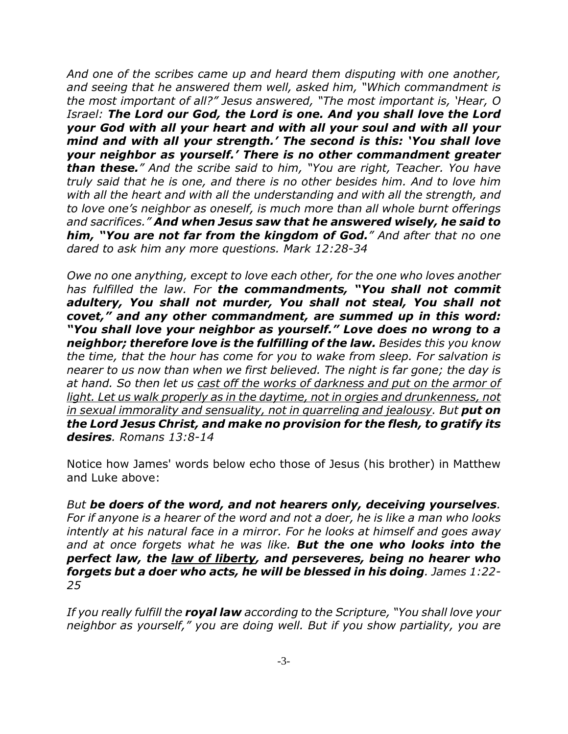*And one of the scribes came up and heard them disputing with one another, and seeing that he answered them well, asked him, "Which commandment is the most important of all?" Jesus answered, "The most important is, 'Hear, O Israel: The Lord our God, the Lord is one. And you shall love the Lord your God with all your heart and with all your soul and with all your mind and with all your strength.' The second is this: 'You shall love your neighbor as yourself.' There is no other commandment greater than these." And the scribe said to him, "You are right, Teacher. You have truly said that he is one, and there is no other besides him. And to love him with all the heart and with all the understanding and with all the strength, and to love one's neighbor as oneself, is much more than all whole burnt offerings and sacrifices." And when Jesus saw that he answered wisely, he said to him, "You are not far from the kingdom of God." And after that no one dared to ask him any more questions. Mark 12:28-34*

*Owe no one anything, except to love each other, for the one who loves another has fulfilled the law. For the commandments, "You shall not commit adultery, You shall not murder, You shall not steal, You shall not covet," and any other commandment, are summed up in this word: "You shall love your neighbor as yourself." Love does no wrong to a neighbor; therefore love is the fulfilling of the law. Besides this you know the time, that the hour has come for you to wake from sleep. For salvation is nearer to us now than when we first believed. The night is far gone; the day is at hand. So then let us cast off the works of darkness and put on the armor of light. Let us walk properly as in the daytime, not in orgies and drunkenness, not in sexual immorality and sensuality, not in quarreling and jealousy. But put on the Lord Jesus Christ, and make no provision for the flesh, to gratify its desires. Romans 13:8-14*

Notice how James' words below echo those of Jesus (his brother) in Matthew and Luke above:

*But be doers of the word, and not hearers only, deceiving yourselves. For if anyone is a hearer of the word and not a doer, he is like a man who looks intently at his natural face in a mirror. For he looks at himself and goes away and at once forgets what he was like. But the one who looks into the perfect law, the law of liberty, and perseveres, being no hearer who forgets but a doer who acts, he will be blessed in his doing. James 1:22- 25*

*If you really fulfill the royal law according to the Scripture, "You shall love your neighbor as yourself," you are doing well. But if you show partiality, you are*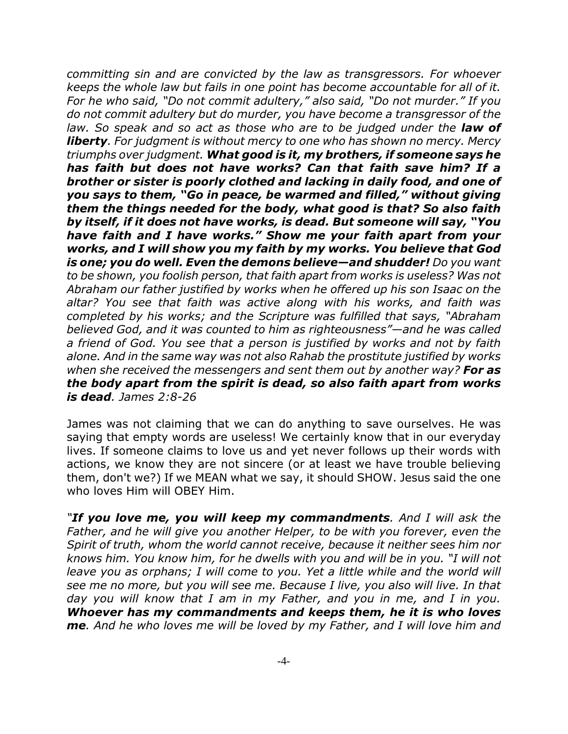*committing sin and are convicted by the law as transgressors. For whoever keeps the whole law but fails in one point has become accountable for all of it. For he who said, "Do not commit adultery," also said, "Do not murder." If you do not commit adultery but do murder, you have become a transgressor of the* law. So speak and so act as those who are to be judged under the **law of** *liberty. For judgment is without mercy to one who has shown no mercy. Mercy triumphs over judgment. What good is it, my brothers, if someone says he has faith but does not have works? Can that faith save him? If a brother or sister is poorly clothed and lacking in daily food, and one of you says to them, "Go in peace, be warmed and filled," without giving them the things needed for the body, what good is that? So also faith by itself, if it does not have works, is dead. But someone will say, "You have faith and I have works." Show me your faith apart from your works, and I will show you my faith by my works. You believe that God is one; you do well. Even the demons believe—and shudder! Do you want to be shown, you foolish person, that faith apart from works is useless? Was not Abraham our father justified by works when he offered up his son Isaac on the altar? You see that faith was active along with his works, and faith was completed by his works; and the Scripture was fulfilled that says, "Abraham believed God, and it was counted to him as righteousness"—and he was called a friend of God. You see that a person is justified by works and not by faith alone. And in the same way was not also Rahab the prostitute justified by works when she received the messengers and sent them out by another way? For as the body apart from the spirit is dead, so also faith apart from works is dead. James 2:8-26*

James was not claiming that we can do anything to save ourselves. He was saying that empty words are useless! We certainly know that in our everyday lives. If someone claims to love us and yet never follows up their words with actions, we know they are not sincere (or at least we have trouble believing them, don't we?) If we MEAN what we say, it should SHOW. Jesus said the one who loves Him will OBEY Him.

*"If you love me, you will keep my commandments. And I will ask the Father, and he will give you another Helper, to be with you forever, even the Spirit of truth, whom the world cannot receive, because it neither sees him nor knows him. You know him, for he dwells with you and will be in you. "I will not leave you as orphans; I will come to you. Yet a little while and the world will see me no more, but you will see me. Because I live, you also will live. In that day you will know that I am in my Father, and you in me, and I in you. Whoever has my commandments and keeps them, he it is who loves me. And he who loves me will be loved by my Father, and I will love him and*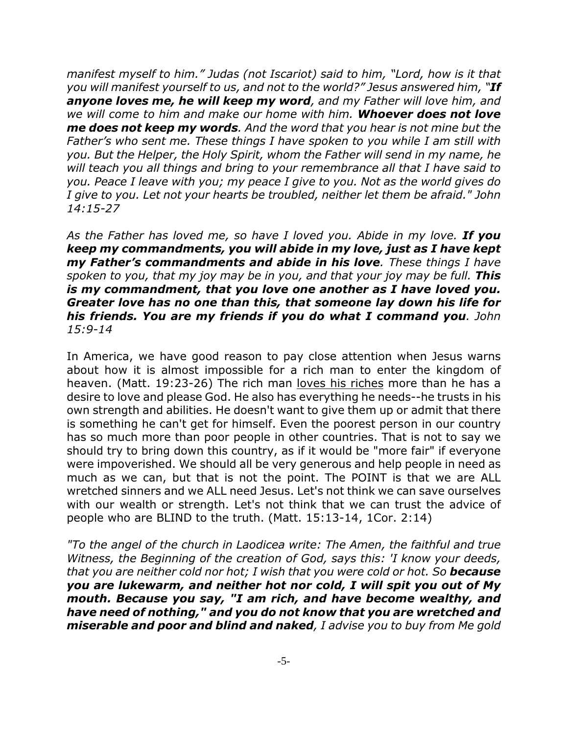*manifest myself to him." Judas (not Iscariot) said to him, "Lord, how is it that you will manifest yourself to us, and not to the world?" Jesus answered him, "If anyone loves me, he will keep my word, and my Father will love him, and we will come to him and make our home with him. Whoever does not love me does not keep my words. And the word that you hear is not mine but the Father's who sent me. These things I have spoken to you while I am still with you. But the Helper, the Holy Spirit, whom the Father will send in my name, he will teach you all things and bring to your remembrance all that I have said to you. Peace I leave with you; my peace I give to you. Not as the world gives do I give to you. Let not your hearts be troubled, neither let them be afraid." John 14:15-27*

*As the Father has loved me, so have I loved you. Abide in my love. If you keep my commandments, you will abide in my love, just as I have kept my Father's commandments and abide in his love. These things I have spoken to you, that my joy may be in you, and that your joy may be full. This is my commandment, that you love one another as I have loved you. Greater love has no one than this, that someone lay down his life for his friends. You are my friends if you do what I command you. John 15:9-14*

In America, we have good reason to pay close attention when Jesus warns about how it is almost impossible for a rich man to enter the kingdom of heaven. (Matt. 19:23-26) The rich man loves his riches more than he has a desire to love and please God. He also has everything he needs--he trusts in his own strength and abilities. He doesn't want to give them up or admit that there is something he can't get for himself. Even the poorest person in our country has so much more than poor people in other countries. That is not to say we should try to bring down this country, as if it would be "more fair" if everyone were impoverished. We should all be very generous and help people in need as much as we can, but that is not the point. The POINT is that we are ALL wretched sinners and we ALL need Jesus. Let's not think we can save ourselves with our wealth or strength. Let's not think that we can trust the advice of people who are BLIND to the truth. (Matt. 15:13-14, 1Cor. 2:14)

*"To the angel of the church in Laodicea write: The Amen, the faithful and true Witness, the Beginning of the creation of God, says this: 'I know your deeds, that you are neither cold nor hot; I wish that you were cold or hot. So because you are lukewarm, and neither hot nor cold, I will spit you out of My mouth. Because you say, "I am rich, and have become wealthy, and have need of nothing," and you do not know that you are wretched and miserable and poor and blind and naked, I advise you to buy from Me gold*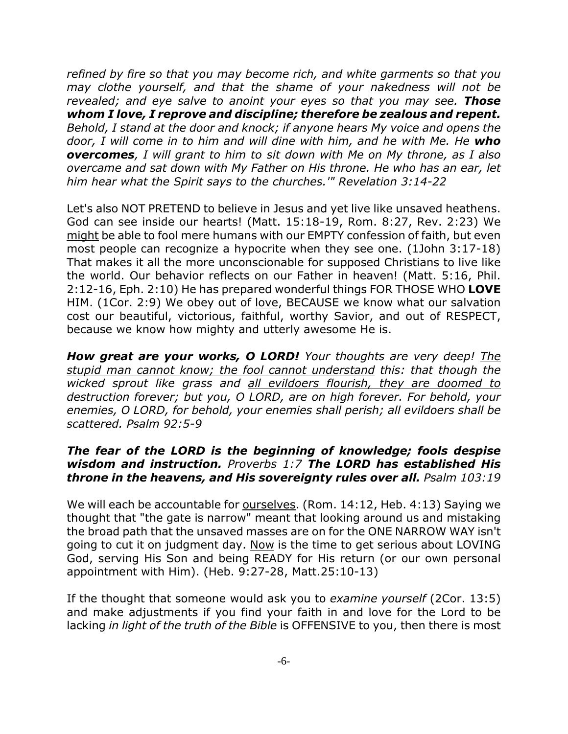*refined by fire so that you may become rich, and white garments so that you may clothe yourself, and that the shame of your nakedness will not be revealed; and eye salve to anoint your eyes so that you may see. Those whom I love, I reprove and discipline; therefore be zealous and repent. Behold, I stand at the door and knock; if anyone hears My voice and opens the door, I will come in to him and will dine with him, and he with Me. He who overcomes, I will grant to him to sit down with Me on My throne, as I also overcame and sat down with My Father on His throne. He who has an ear, let him hear what the Spirit says to the churches.'" Revelation 3:14-22*

Let's also NOT PRETEND to believe in Jesus and yet live like unsaved heathens. God can see inside our hearts! (Matt. 15:18-19, Rom. 8:27, Rev. 2:23) We might be able to fool mere humans with our EMPTY confession of faith, but even most people can recognize a hypocrite when they see one. (1John 3:17-18) That makes it all the more unconscionable for supposed Christians to live like the world. Our behavior reflects on our Father in heaven! (Matt. 5:16, Phil. 2:12-16, Eph. 2:10) He has prepared wonderful things FOR THOSE WHO **LOVE** HIM. (1Cor. 2:9) We obey out of love, BECAUSE we know what our salvation cost our beautiful, victorious, faithful, worthy Savior, and out of RESPECT, because we know how mighty and utterly awesome He is.

*How great are your works, O LORD! Your thoughts are very deep! The stupid man cannot know; the fool cannot understand this: that though the wicked sprout like grass and all evildoers flourish, they are doomed to destruction forever; but you, O LORD, are on high forever. For behold, your enemies, O LORD, for behold, your enemies shall perish; all evildoers shall be scattered. Psalm 92:5-9*

## *The fear of the LORD is the beginning of knowledge; fools despise wisdom and instruction. Proverbs 1:7 The LORD has established His throne in the heavens, and His sovereignty rules over all. Psalm 103:19*

We will each be accountable for ourselves. (Rom. 14:12, Heb. 4:13) Saying we thought that "the gate is narrow" meant that looking around us and mistaking the broad path that the unsaved masses are on for the ONE NARROW WAY isn't going to cut it on judgment day. Now is the time to get serious about LOVING God, serving His Son and being READY for His return (or our own personal appointment with Him). (Heb. 9:27-28, Matt.25:10-13)

If the thought that someone would ask you to *examine yourself* (2Cor. 13:5) and make adjustments if you find your faith in and love for the Lord to be lacking *in light of the truth of the Bible* is OFFENSIVE to you, then there is most